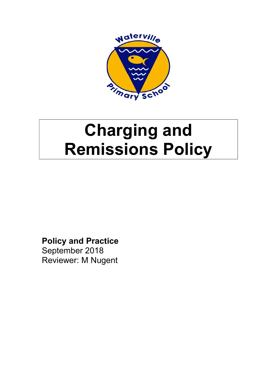

# Charging and Remissions Policy

Policy and Practice September 2018 Reviewer: M Nugent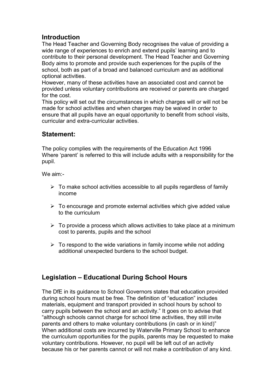# **Introduction**

The Head Teacher and Governing Body recognises the value of providing a wide range of experiences to enrich and extend pupils' learning and to contribute to their personal development. The Head Teacher and Governing Body aims to promote and provide such experiences for the pupils of the school, both as part of a broad and balanced curriculum and as additional optional activities.

However, many of these activities have an associated cost and cannot be provided unless voluntary contributions are received or parents are charged for the cost.

This policy will set out the circumstances in which charges will or will not be made for school activities and when charges may be waived in order to ensure that all pupils have an equal opportunity to benefit from school visits, curricular and extra-curricular activities.

# Statement:

The policy complies with the requirements of the Education Act 1996 Where 'parent' is referred to this will include adults with a responsibility for the pupil.

We aim:-

- $\triangleright$  To make school activities accessible to all pupils regardless of family income
- $\triangleright$  To encourage and promote external activities which give added value to the curriculum
- $\triangleright$  To provide a process which allows activities to take place at a minimum cost to parents, pupils and the school
- $\triangleright$  To respond to the wide variations in family income while not adding additional unexpected burdens to the school budget.

# Legislation – Educational During School Hours

The DfE in its guidance to School Governors states that education provided during school hours must be free. The definition of "education" includes materials, equipment and transport provided in school hours by school to carry pupils between the school and an activity." It goes on to advise that "although schools cannot charge for school time activities, they still invite parents and others to make voluntary contributions (in cash or in kind)" When additional costs are incurred by Waterville Primary School to enhance the curriculum opportunities for the pupils, parents may be requested to make voluntary contributions. However, no pupil will be left out of an activity because his or her parents cannot or will not make a contribution of any kind.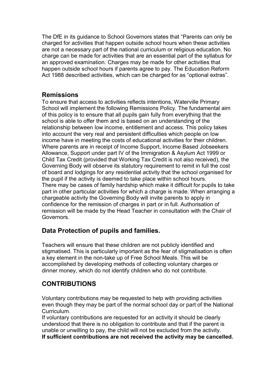The DfE in its guidance to School Governors states that "Parents can only be charged for activities that happen outside school hours when these activities are not a necessary part of the national curriculum or religious education. No charge can be made for activities that are an essential part of the syllabus for an approved examination. Charges may be made for other activities that happen outside school hours if parents agree to pay. The Education Reform Act 1988 described activities, which can be charged for as "optional extras".

#### **Remissions**

To ensure that access to activities reflects intentions, Waterville Primary School will implement the following Remissions Policy. The fundamental aim of this policy is to ensure that all pupils gain fully from everything that the school is able to offer them and is based on an understanding of the relationship between low income, entitlement and access. This policy takes into account the very real and persistent difficulties which people on low income have in meeting the costs of educational activities for their children. Where parents are in receipt of Income Support, Income Based Jobseekers Allowance, Support under part IV of the Immigration & Asylum Act 1999 or Child Tax Credit (provided that Working Tax Credit is not also received), the Governing Body will observe its statutory requirement to remit in full the cost of board and lodgings for any residential activity that the school organised for the pupil if the activity is deemed to take place within school hours. There may be cases of family hardship which make it difficult for pupils to take part in other particular activities for which a charge is made. When arranging a chargeable activity the Governing Body will invite parents to apply in confidence for the remission of charges in part or in full. Authorisation of remission will be made by the Head Teacher in consultation with the Chair of Governors.

# Data Protection of pupils and families.

Teachers will ensure that these children are not publicly identified and stigmatised. This is particularly important as the fear of stigmatisation is often a key element in the non-take up of Free School Meals. This will be accomplished by developing methods of collecting voluntary charges or dinner money, which do not identify children who do not contribute.

# CONTRIBUTIONS

Voluntary contributions may be requested to help with providing activities even though they may be part of the normal school day or part of the National Curriculum.

If voluntary contributions are requested for an activity it should be clearly understood that there is no obligation to contribute and that if the parent is unable or unwilling to pay, the child will not be excluded from the activity. If sufficient contributions are not received the activity may be cancelled.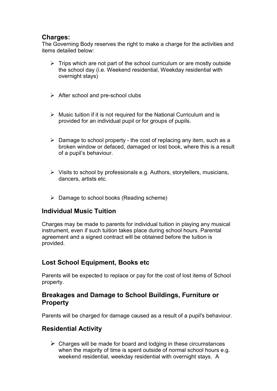#### Charges:

The Governing Body reserves the right to make a charge for the activities and items detailed below:

- $\triangleright$  Trips which are not part of the school curriculum or are mostly outside the school day (i.e. Weekend residential, Weekday residential with overnight stays)
- $\triangleright$  After school and pre-school clubs
- $\triangleright$  Music tuition if it is not required for the National Curriculum and is provided for an individual pupil or for groups of pupils.
- $\triangleright$  Damage to school property the cost of replacing any item, such as a broken window or defaced, damaged or lost book, where this is a result of a pupil's behaviour.
- $\triangleright$  Visits to school by professionals e.g. Authors, storytellers, musicians, dancers, artists etc.
- Damage to school books (Reading scheme)

#### Individual Music Tuition

Charges may be made to parents for individual tuition in playing any musical instrument, even if such tuition takes place during school hours. Parental agreement and a signed contract will be obtained before the tuition is provided.

# Lost School Equipment, Books etc

Parents will be expected to replace or pay for the cost of lost items of School property.

# Breakages and Damage to School Buildings, Furniture or **Property**

Parents will be charged for damage caused as a result of a pupil's behaviour.

# Residential Activity

 $\triangleright$  Charges will be made for board and lodging in these circumstances when the majority of time is spent outside of normal school hours e.g. weekend residential, weekday residential with overnight stays. A